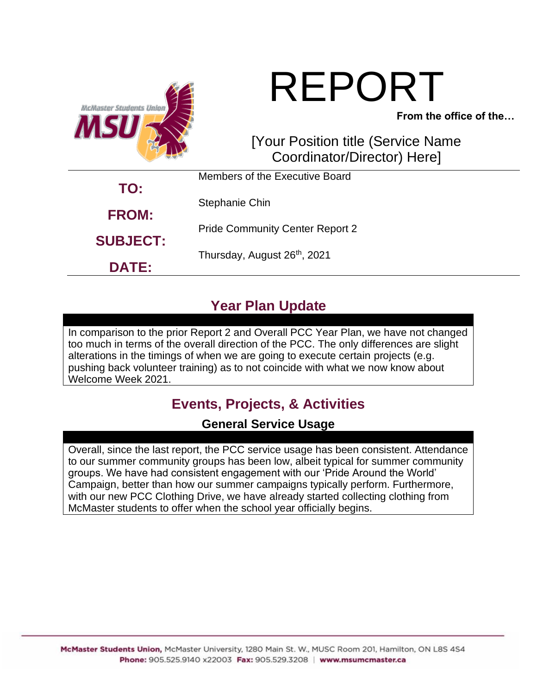

# REPORT

**From the office of the…**

### [Your Position title (Service Name Coordinator/Director) Here]

|                     | Members of the Executive Board           |  |
|---------------------|------------------------------------------|--|
| TO:<br><b>FROM:</b> | Stephanie Chin                           |  |
|                     | <b>Pride Community Center Report 2</b>   |  |
| <b>SUBJECT:</b>     | Thursday, August 26 <sup>th</sup> , 2021 |  |
| <b>DATE:</b>        |                                          |  |

# **Year Plan Update**

In comparison to the prior Report 2 and Overall PCC Year Plan, we have not changed too much in terms of the overall direction of the PCC. The only differences are slight alterations in the timings of when we are going to execute certain projects (e.g. pushing back volunteer training) as to not coincide with what we now know about Welcome Week 2021.

# **Events, Projects, & Activities**

#### **General Service Usage**

Overall, since the last report, the PCC service usage has been consistent. Attendance to our summer community groups has been low, albeit typical for summer community groups. We have had consistent engagement with our 'Pride Around the World' Campaign, better than how our summer campaigns typically perform. Furthermore, with our new PCC Clothing Drive, we have already started collecting clothing from McMaster students to offer when the school year officially begins.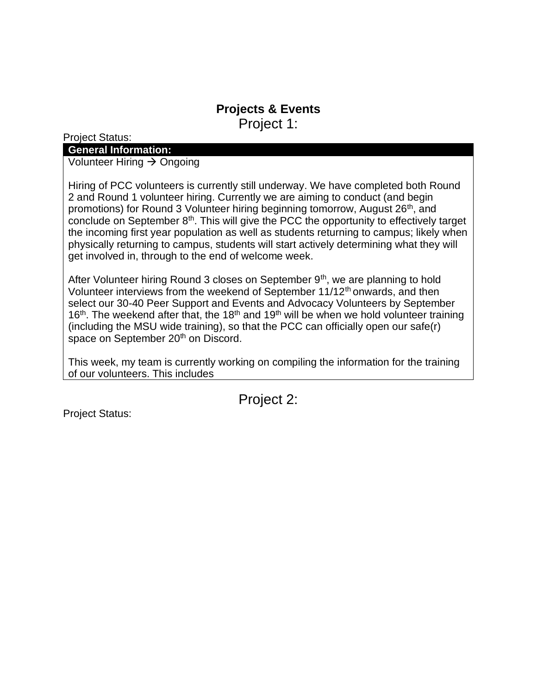#### **Projects & Events** Project 1:

Project Status:

#### **General Information:**

Volunteer Hiring → Ongoing

Hiring of PCC volunteers is currently still underway. We have completed both Round 2 and Round 1 volunteer hiring. Currently we are aiming to conduct (and begin promotions) for Round 3 Volunteer hiring beginning tomorrow, August 26<sup>th</sup>, and conclude on September  $8<sup>th</sup>$ . This will give the PCC the opportunity to effectively target the incoming first year population as well as students returning to campus; likely when physically returning to campus, students will start actively determining what they will get involved in, through to the end of welcome week.

After Volunteer hiring Round 3 closes on September  $9<sup>th</sup>$ , we are planning to hold Volunteer interviews from the weekend of September 11/12<sup>th</sup> onwards, and then select our 30-40 Peer Support and Events and Advocacy Volunteers by September 16<sup>th</sup>. The weekend after that, the 18<sup>th</sup> and 19<sup>th</sup> will be when we hold volunteer training (including the MSU wide training), so that the PCC can officially open our safe(r) space on September 20<sup>th</sup> on Discord.

This week, my team is currently working on compiling the information for the training of our volunteers. This includes

Project 2:

Project Status: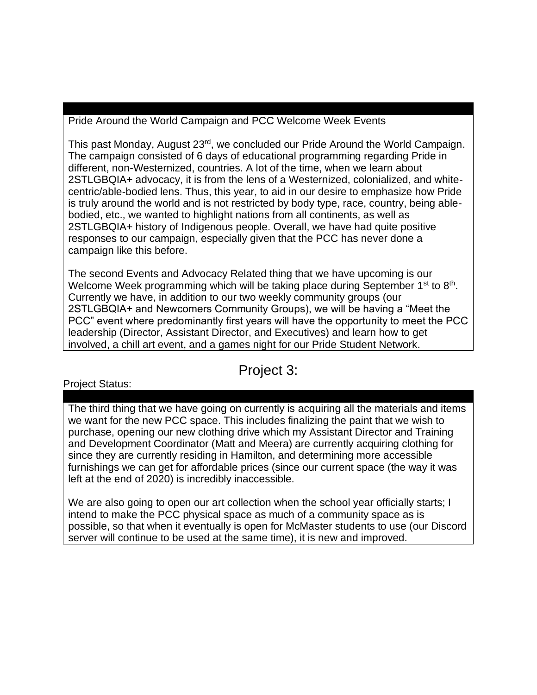Pride Around the World Campaign and PCC Welcome Week Events

This past Monday, August 23rd, we concluded our Pride Around the World Campaign. The campaign consisted of 6 days of educational programming regarding Pride in different, non-Westernized, countries. A lot of the time, when we learn about 2STLGBQIA+ advocacy, it is from the lens of a Westernized, colonialized, and whitecentric/able-bodied lens. Thus, this year, to aid in our desire to emphasize how Pride is truly around the world and is not restricted by body type, race, country, being ablebodied, etc., we wanted to highlight nations from all continents, as well as 2STLGBQIA+ history of Indigenous people. Overall, we have had quite positive responses to our campaign, especially given that the PCC has never done a campaign like this before.

The second Events and Advocacy Related thing that we have upcoming is our Welcome Week programming which will be taking place during September  $1<sup>st</sup>$  to  $8<sup>th</sup>$ . Currently we have, in addition to our two weekly community groups (our 2STLGBQIA+ and Newcomers Community Groups), we will be having a "Meet the PCC" event where predominantly first years will have the opportunity to meet the PCC leadership (Director, Assistant Director, and Executives) and learn how to get involved, a chill art event, and a games night for our Pride Student Network.

#### Project 3:

#### Project Status:

The third thing that we have going on currently is acquiring all the materials and items we want for the new PCC space. This includes finalizing the paint that we wish to purchase, opening our new clothing drive which my Assistant Director and Training and Development Coordinator (Matt and Meera) are currently acquiring clothing for since they are currently residing in Hamilton, and determining more accessible furnishings we can get for affordable prices (since our current space (the way it was left at the end of 2020) is incredibly inaccessible.

We are also going to open our art collection when the school year officially starts; I intend to make the PCC physical space as much of a community space as is possible, so that when it eventually is open for McMaster students to use (our Discord server will continue to be used at the same time), it is new and improved.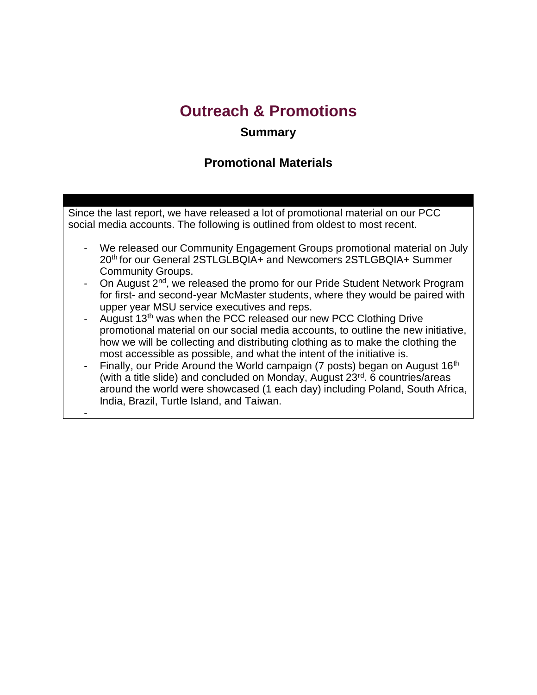# **Outreach & Promotions**

#### **Summary**

#### **Promotional Materials**

Since the last report, we have released a lot of promotional material on our PCC social media accounts. The following is outlined from oldest to most recent.

- We released our Community Engagement Groups promotional material on July 20th for our General 2STLGLBQIA+ and Newcomers 2STLGBQIA+ Summer Community Groups.
- On August 2<sup>nd</sup>, we released the promo for our Pride Student Network Program for first- and second-year McMaster students, where they would be paired with upper year MSU service executives and reps.
- August 13<sup>th</sup> was when the PCC released our new PCC Clothing Drive promotional material on our social media accounts, to outline the new initiative, how we will be collecting and distributing clothing as to make the clothing the most accessible as possible, and what the intent of the initiative is.
- Finally, our Pride Around the World campaign (7 posts) began on August 16<sup>th</sup> (with a title slide) and concluded on Monday, August 23rd. 6 countries/areas around the world were showcased (1 each day) including Poland, South Africa, India, Brazil, Turtle Island, and Taiwan.

-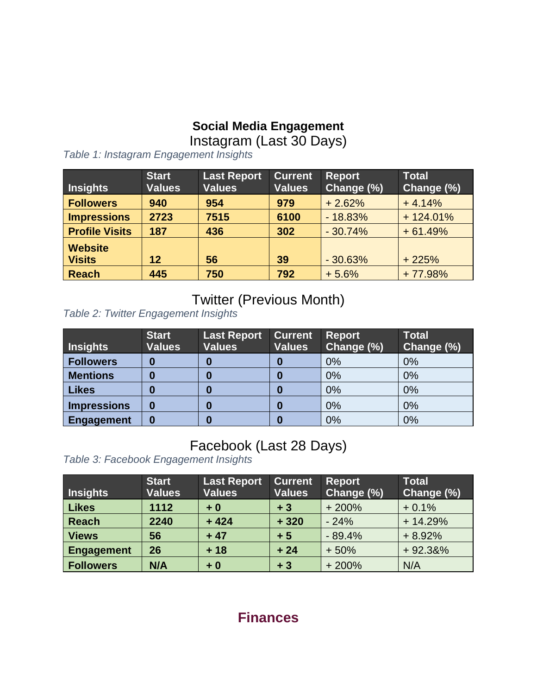#### **Social Media Engagement**

Instagram (Last 30 Days)

**Insights Start Values Last Report Values Current Values Report Change (%) Total Change (%) Followers 940 954 979** + 2.62% + 4.14% **Impressions 2723 7515 6100** - 18.83% + 124.01% **Profile Visits 187 436 302** - 30.74% + 61.49% **Website Visits 12 56 39** - 30.63% + 225% **Reach 445 750 792** + 5.6% + 77.98%

*Table 1: Instagram Engagement Insights*

## Twitter (Previous Month)

*Table 2: Twitter Engagement Insights*

| <b>Insights</b>    | <b>Start</b><br><b>Values</b> | <b>Last Report</b><br><b>Values</b> | <b>Current</b><br><b>Values</b> | <b>Report</b><br>Change (%) | <b>Total</b><br>Change (%) |
|--------------------|-------------------------------|-------------------------------------|---------------------------------|-----------------------------|----------------------------|
| <b>Followers</b>   | 0                             | O                                   | 0                               | 0%                          | 0%                         |
| <b>Mentions</b>    | 0                             | U                                   | 0                               | 0%                          | 0%                         |
| <b>Likes</b>       | 0                             | 0                                   | 0                               | 0%                          | 0%                         |
| <b>Impressions</b> | 0                             | O                                   | 0                               | 0%                          | 0%                         |
| <b>Engagement</b>  | 0                             | 0                                   | 0                               | 0%                          | 0%                         |

# Facebook (Last 28 Days)

*Table 3: Facebook Engagement Insights*

| Insights          | <b>Start</b><br><b>Values</b> | <b>Last Report</b><br><b>Values</b> | <b>Current</b><br><b>Values</b> | <b>Report</b><br>Change (%) | <b>Total</b><br>Change (%) |
|-------------------|-------------------------------|-------------------------------------|---------------------------------|-----------------------------|----------------------------|
| Likes             | 1112                          | $+0$                                | $+3$                            | $+200%$                     | $+0.1%$                    |
| Reach             | 2240                          | $+424$                              | $+320$                          | $-24%$                      | $+14.29%$                  |
| <b>Views</b>      | 56                            | $+47$                               | $+5$                            | $-89.4%$                    | $+8.92%$                   |
| <b>Engagement</b> | 26                            | $+18$                               | $+24$                           | $+50%$                      | $+92.38%$                  |
| <b>Followers</b>  | N/A                           | $+0$                                | $+3$                            | $+200%$                     | N/A                        |

## **Finances**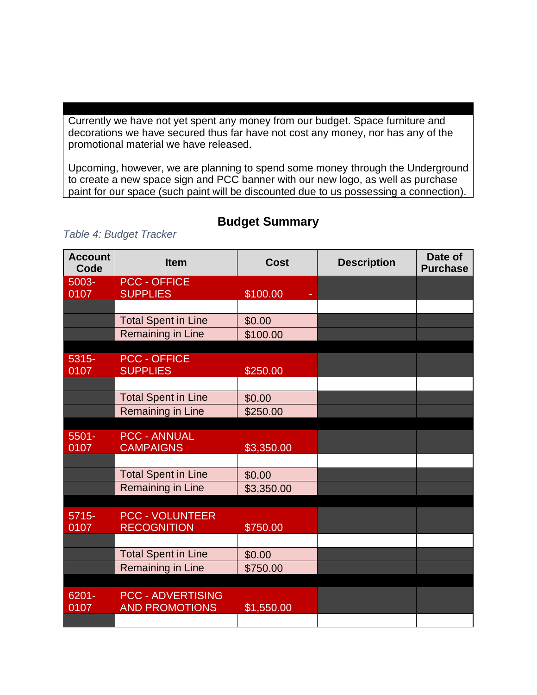Currently we have not yet spent any money from our budget. Space furniture and decorations we have secured thus far have not cost any money, nor has any of the promotional material we have released.

Upcoming, however, we are planning to spend some money through the Underground to create a new space sign and PCC banner with our new logo, as well as purchase paint for our space (such paint will be discounted due to us possessing a connection).

| <b>Account</b><br>Code | <b>Item</b>                             | <b>Cost</b> | <b>Description</b> | Date of<br><b>Purchase</b> |
|------------------------|-----------------------------------------|-------------|--------------------|----------------------------|
| 5003-                  | <b>PCC - OFFICE</b>                     |             |                    |                            |
| 0107                   | <b>SUPPLIES</b>                         | \$100.00    |                    |                            |
|                        |                                         |             |                    |                            |
|                        | <b>Total Spent in Line</b>              | \$0.00      |                    |                            |
|                        | Remaining in Line                       | \$100.00    |                    |                            |
|                        |                                         |             |                    |                            |
| 5315-                  | <b>PCC - OFFICE</b>                     |             |                    |                            |
| 0107                   | <b>SUPPLIES</b>                         | \$250.00    |                    |                            |
|                        |                                         |             |                    |                            |
|                        | <b>Total Spent in Line</b>              | \$0.00      |                    |                            |
|                        | <b>Remaining in Line</b>                | \$250.00    |                    |                            |
|                        |                                         |             |                    |                            |
| $5501 -$<br>0107       | <b>PCC - ANNUAL</b><br><b>CAMPAIGNS</b> | \$3,350.00  |                    |                            |
|                        |                                         |             |                    |                            |
|                        | <b>Total Spent in Line</b>              |             |                    |                            |
|                        |                                         | \$0.00      |                    |                            |
|                        | Remaining in Line                       | \$3,350.00  |                    |                            |
|                        |                                         |             |                    |                            |
| $5715 -$<br>0107       | <b>PCC - VOLUNTEER</b>                  |             |                    |                            |
|                        | <b>RECOGNITION</b>                      | \$750.00    |                    |                            |
|                        |                                         |             |                    |                            |
|                        | <b>Total Spent in Line</b>              | \$0.00      |                    |                            |
|                        | Remaining in Line                       | \$750.00    |                    |                            |
|                        |                                         |             |                    |                            |
| 6201-                  | <b>PCC - ADVERTISING</b>                |             |                    |                            |
| 0107                   | <b>AND PROMOTIONS</b>                   | \$1,550.00  |                    |                            |
|                        |                                         |             |                    |                            |

#### **Budget Summary**

#### *Table 4: Budget Tracker*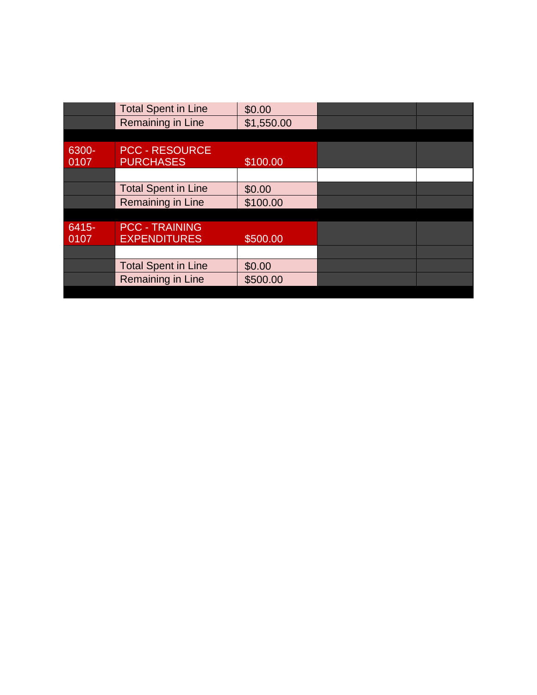|               | <b>Total Spent in Line</b>                | \$0.00     |  |
|---------------|-------------------------------------------|------------|--|
|               | Remaining in Line                         | \$1,550.00 |  |
|               |                                           |            |  |
| 6300-<br>0107 | <b>PCC - RESOURCE</b><br><b>PURCHASES</b> | \$100.00   |  |
|               |                                           |            |  |
|               | <b>Total Spent in Line</b>                | \$0.00     |  |
|               | Remaining in Line                         | \$100.00   |  |
|               |                                           |            |  |
| $6415 -$      | <b>PCC - TRAINING</b>                     |            |  |
| 0107          | <b>EXPENDITURES</b>                       | \$500.00   |  |
|               |                                           |            |  |
|               | <b>Total Spent in Line</b>                | \$0.00     |  |
|               | Remaining in Line                         | \$500.00   |  |
|               |                                           |            |  |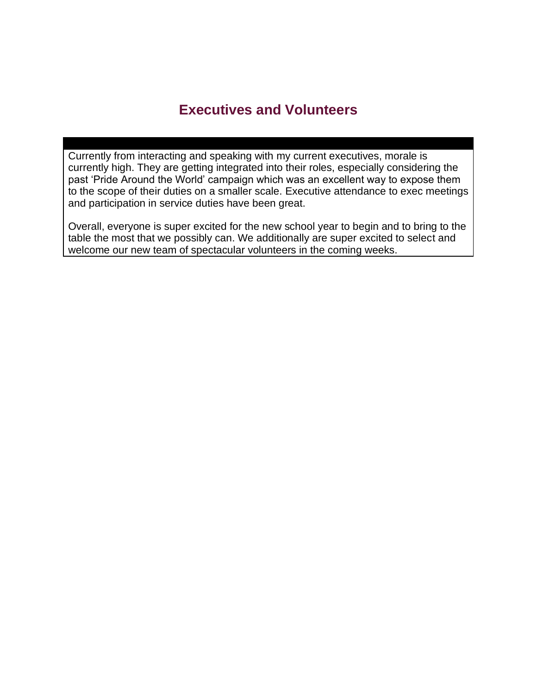## **Executives and Volunteers**

Currently from interacting and speaking with my current executives, morale is currently high. They are getting integrated into their roles, especially considering the past 'Pride Around the World' campaign which was an excellent way to expose them to the scope of their duties on a smaller scale. Executive attendance to exec meetings and participation in service duties have been great.

Overall, everyone is super excited for the new school year to begin and to bring to the table the most that we possibly can. We additionally are super excited to select and welcome our new team of spectacular volunteers in the coming weeks.